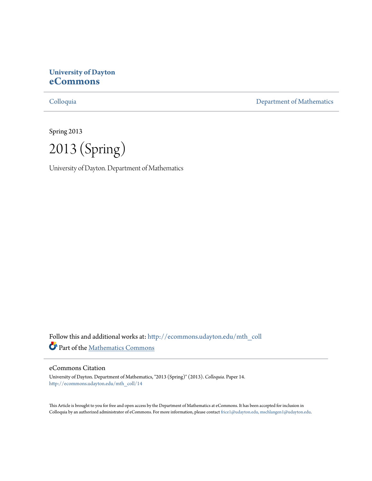# **University of Dayton [eCommons](http://ecommons.udayton.edu?utm_source=ecommons.udayton.edu%2Fmth_coll%2F14&utm_medium=PDF&utm_campaign=PDFCoverPages)**

[Colloquia](http://ecommons.udayton.edu/mth_coll?utm_source=ecommons.udayton.edu%2Fmth_coll%2F14&utm_medium=PDF&utm_campaign=PDFCoverPages) [Department of Mathematics](http://ecommons.udayton.edu/mth?utm_source=ecommons.udayton.edu%2Fmth_coll%2F14&utm_medium=PDF&utm_campaign=PDFCoverPages)

Spring 2013

2013 (Spring)

University of Dayton. Department of Mathematics

Follow this and additional works at: [http://ecommons.udayton.edu/mth\\_coll](http://ecommons.udayton.edu/mth_coll?utm_source=ecommons.udayton.edu%2Fmth_coll%2F14&utm_medium=PDF&utm_campaign=PDFCoverPages) Part of the [Mathematics Commons](http://network.bepress.com/hgg/discipline/174?utm_source=ecommons.udayton.edu%2Fmth_coll%2F14&utm_medium=PDF&utm_campaign=PDFCoverPages)

### eCommons Citation

University of Dayton. Department of Mathematics, "2013 (Spring)" (2013). *Colloquia.* Paper 14. [http://ecommons.udayton.edu/mth\\_coll/14](http://ecommons.udayton.edu/mth_coll/14?utm_source=ecommons.udayton.edu%2Fmth_coll%2F14&utm_medium=PDF&utm_campaign=PDFCoverPages)

This Article is brought to you for free and open access by the Department of Mathematics at eCommons. It has been accepted for inclusion in Colloquia by an authorized administrator of eCommons. For more information, please contact [frice1@udayton.edu, mschlangen1@udayton.edu.](mailto:frice1@udayton.edu,%20mschlangen1@udayton.edu)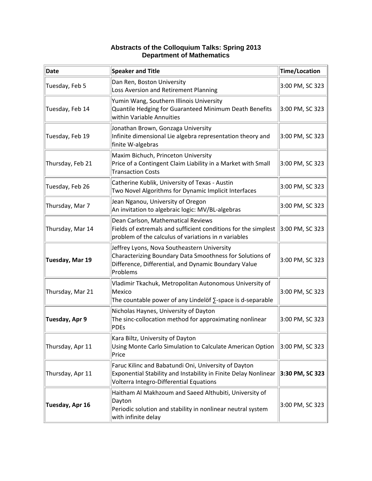### **Abstracts of the Colloquium Talks: Spring 2013 Department of Mathematics**

| Date             | <b>Speaker and Title</b>                                                                                                                                                    | Time/Location   |
|------------------|-----------------------------------------------------------------------------------------------------------------------------------------------------------------------------|-----------------|
| Tuesday, Feb 5   | Dan Ren, Boston University<br>Loss Aversion and Retirement Planning                                                                                                         | 3:00 PM, SC 323 |
| Tuesday, Feb 14  | Yumin Wang, Southern Illinois University<br>Quantile Hedging for Guaranteed Minimum Death Benefits<br>within Variable Annuities                                             | 3:00 PM, SC 323 |
| Tuesday, Feb 19  | Jonathan Brown, Gonzaga University<br>Infinite dimensional Lie algebra representation theory and<br>finite W-algebras                                                       | 3:00 PM, SC 323 |
| Thursday, Feb 21 | Maxim Bichuch, Princeton University<br>Price of a Contingent Claim Liability in a Market with Small<br><b>Transaction Costs</b>                                             | 3:00 PM, SC 323 |
| Tuesday, Feb 26  | Catherine Kublik, University of Texas - Austin<br>Two Novel Algorithms for Dynamic Implicit Interfaces                                                                      | 3:00 PM, SC 323 |
| Thursday, Mar 7  | Jean Nganou, University of Oregon<br>An invitation to algebraic logic: MV/BL-algebras                                                                                       | 3:00 PM, SC 323 |
| Thursday, Mar 14 | Dean Carlson, Mathematical Reviews<br>Fields of extremals and sufficient conditions for the simplest<br>problem of the calculus of variations in n variables                | 3:00 PM, SC 323 |
| Tuesday, Mar 19  | Jeffrey Lyons, Nova Southeastern University<br>Characterizing Boundary Data Smoothness for Solutions of<br>Difference, Differential, and Dynamic Boundary Value<br>Problems | 3:00 PM, SC 323 |
| Thursday, Mar 21 | Vladimir Tkachuk, Metropolitan Autonomous University of<br>Mexico<br>The countable power of any Lindelöf $\Sigma$ -space is d-separable                                     | 3:00 PM, SC 323 |
| Tuesday, Apr 9   | Nicholas Haynes, University of Dayton<br>The sinc-collocation method for approximating nonlinear<br><b>PDEs</b>                                                             | 3:00 PM, SC 323 |
| Thursday, Apr 11 | Kara Biltz, University of Dayton<br>Using Monte Carlo Simulation to Calculate American Option<br>Price                                                                      | 3:00 PM, SC 323 |
| Thursday, Apr 11 | Faruc Kilinc and Babatundi Oni, University of Dayton<br>Exponential Stability and Instability in Finite Delay Nonlinear<br>Volterra Integro-Differential Equations          | 3:30 PM, SC 323 |
| Tuesday, Apr 16  | Haitham Al Makhzoum and Saeed Althubiti, University of<br>Dayton<br>Periodic solution and stability in nonlinear neutral system<br>with infinite delay                      | 3:00 PM, SC 323 |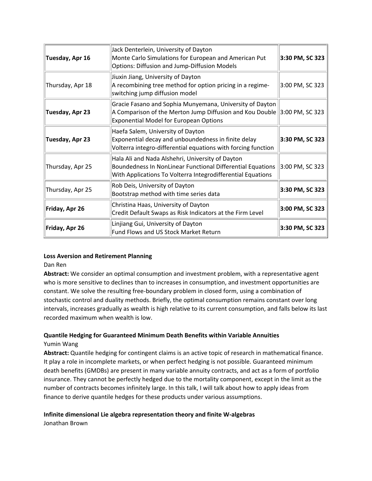| Tuesday, Apr 16  | Jack Denterlein, University of Dayton<br>Monte Carlo Simulations for European and American Put<br>Options: Diffusion and Jump-Diffusion Models                                           | 3:30 PM, SC 323 |
|------------------|------------------------------------------------------------------------------------------------------------------------------------------------------------------------------------------|-----------------|
| Thursday, Apr 18 | Jiuxin Jiang, University of Dayton<br>A recombining tree method for option pricing in a regime-<br>switching jump diffusion model                                                        | 3:00 PM, SC 323 |
| Tuesday, Apr 23  | Gracie Fasano and Sophia Munyemana, University of Dayton<br>A Comparison of the Merton Jump Diffusion and Kou Double $ 3:00$ PM, SC 323<br><b>Exponential Model for European Options</b> |                 |
| Tuesday, Apr 23  | Haefa Salem, University of Dayton<br>Exponential decay and unboundedness in finite delay<br>Volterra integro-differential equations with forcing function                                | 3:30 PM, SC 323 |
| Thursday, Apr 25 | Hala Ali and Nada Alshehri, University of Dayton<br>Boundedness In NonLinear Functional Differential Equations<br>With Applications To Volterra Integrodifferential Equations            | 3:00 PM, SC 323 |
| Thursday, Apr 25 | Rob Deis, University of Dayton<br>Bootstrap method with time series data                                                                                                                 | 3:30 PM, SC 323 |
| Friday, Apr 26   | Christina Haas, University of Dayton<br>Credit Default Swaps as Risk Indicators at the Firm Level                                                                                        | 3:00 PM, SC 323 |
| Friday, Apr 26   | Linjiang Gui, University of Dayton<br>Fund Flows and US Stock Market Return                                                                                                              | 3:30 PM, SC 323 |

### **Loss Aversion and Retirement Planning**

Dan Ren

**Abstract:** We consider an optimal consumption and investment problem, with a representative agent who is more sensitive to declines than to increases in consumption, and investment opportunities are constant. We solve the resulting free‐boundary problem in closed form, using a combination of stochastic control and duality methods. Briefly, the optimal consumption remains constant over long intervals, increases gradually as wealth is high relative to its current consumption, and falls below its last recorded maximum when wealth is low.

# **Quantile Hedging for Guaranteed Minimum Death Benefits within Variable Annuities**

### Yumin Wang

**Abstract:** Quantile hedging for contingent claims is an active topic of research in mathematical finance. It play a role in incomplete markets, or when perfect hedging is not possible. Guaranteed minimum death benefits (GMDBs) are present in many variable annuity contracts, and act as a form of portfolio insurance. They cannot be perfectly hedged due to the mortality component, except in the limit as the number of contracts becomes infinitely large. In this talk, I will talk about how to apply ideas from finance to derive quantile hedges for these products under various assumptions.

# **Infinite dimensional Lie algebra representation theory and finite W‐algebras**

Jonathan Brown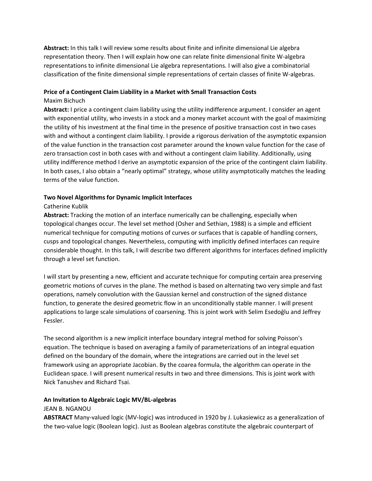**Abstract:** In this talk I will review some results about finite and infinite dimensional Lie algebra representation theory. Then I will explain how one can relate finite dimensional finite W‐algebra representations to infinite dimensional Lie algebra representations. I will also give a combinatorial classification of the finite dimensional simple representations of certain classes of finite W‐algebras.

### **Price of a Contingent Claim Liability in a Market with Small Transaction Costs**

#### Maxim Bichuch

**Abstract:** I price a contingent claim liability using the utility indifference argument. I consider an agent with exponential utility, who invests in a stock and a money market account with the goal of maximizing the utility of his investment at the final time in the presence of positive transaction cost in two cases with and without a contingent claim liability. I provide a rigorous derivation of the asymptotic expansion of the value function in the transaction cost parameter around the known value function for the case of zero transaction cost in both cases with and without a contingent claim liability. Additionally, using utility indifference method I derive an asymptotic expansion of the price of the contingent claim liability. In both cases, I also obtain a "nearly optimal" strategy, whose utility asymptotically matches the leading terms of the value function.

#### **Two Novel Algorithms for Dynamic Implicit Interfaces**

#### Catherine Kublik

**Abstract:** Tracking the motion of an interface numerically can be challenging, especially when topological changes occur. The level set method (Osher and Sethian, 1988) is a simple and efficient numerical technique for computing motions of curves or surfaces that is capable of handling corners, cusps and topological changes. Nevertheless, computing with implicitly defined interfaces can require considerable thought. In this talk, I will describe two different algorithms for interfaces defined implicitly through a level set function.

I will start by presenting a new, efficient and accurate technique for computing certain area preserving geometric motions of curves in the plane. The method is based on alternating two very simple and fast operations, namely convolution with the Gaussian kernel and construction of the signed distance function, to generate the desired geometric flow in an unconditionally stable manner. I will present applications to large scale simulations of coarsening. This is joint work with Selim Esedoğlu and Jeffrey Fessler.

The second algorithm is a new implicit interface boundary integral method for solving Poisson's equation. The technique is based on averaging a family of parameterizations of an integral equation defined on the boundary of the domain, where the integrations are carried out in the level set framework using an appropriate Jacobian. By the coarea formula, the algorithm can operate in the Euclidean space. I will present numerical results in two and three dimensions. This is joint work with Nick Tanushev and Richard Tsai.

### **An Invitation to Algebraic Logic MV/BL‐algebras**

### JEAN B. NGANOU

**ABSTRACT** Many‐valued logic (MV‐logic) was introduced in 1920 by J. Lukasiewicz as a generalization of the two‐value logic (Boolean logic). Just as Boolean algebras constitute the algebraic counterpart of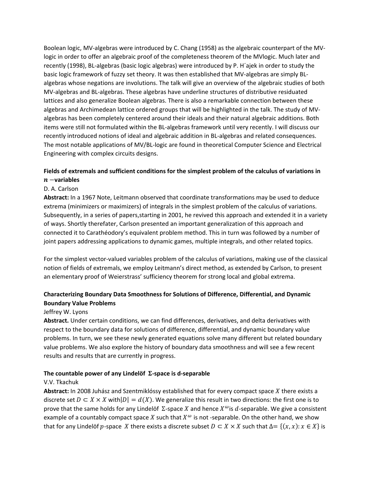Boolean logic, MV‐algebras were introduced by C. Chang (1958) as the algebraic counterpart of the MV‐ logic in order to offer an algebraic proof of the completeness theorem of the MVlogic. Much later and recently (1998), BL‐algebras (basic logic algebras) were introduced by P. H´ajek in order to study the basic logic framework of fuzzy set theory. It was then established that MV‐algebras are simply BL‐ algebras whose negations are involutions. The talk will give an overview of the algebraic studies of both MV‐algebras and BL‐algebras. These algebras have underline structures of distributive residuated lattices and also generalize Boolean algebras. There is also a remarkable connection between these algebras and Archimedean lattice ordered groups that will be highlighted in the talk. The study of MV‐ algebras has been completely centered around their ideals and their natural algebraic additions. Both items were still not formulated within the BL‐algebras framework until very recently. I will discuss our recently introduced notions of ideal and algebraic addition in BL‐algebras and related consequences. The most notable applications of MV/BL‐logic are found in theoretical Computer Science and Electrical Engineering with complex circuits designs.

### **Fields of extremals and sufficient conditions for the simplest problem of the calculus of variations in** െ**variables**

# D. A. Carlson

**Abstract:** In a 1967 Note, Leitmann observed that coordinate transformations may be used to deduce extrema (minimizers or maximizers) of integrals in the simplest problem of the calculus of variations. Subsequently, in a series of papers,starting in 2001, he revived this approach and extended it in a variety of ways. Shortly therefater, Carlson presented an important generalization of this approach and connected it to Carathéodory's equivalent problem method. This in turn was followed by a number of joint papers addressing applications to dynamic games, multiple integrals, and other related topics.

For the simplest vector‐valued variables problem of the calculus of variations, making use of the classical notion of fields of extremals, we employ Leitmann's direct method, as extended by Carlson, to present an elementary proof of Weierstrass' sufficiency theorem for strong local and global extrema.

# **Characterizing Boundary Data Smoothness for Solutions of Difference, Differential, and Dynamic Boundary Value Problems**

### Jeffrey W. Lyons

**Abstract.** Under certain conditions, we can find differences, derivatives, and delta derivatives with respect to the boundary data for solutions of difference, differential, and dynamic boundary value problems. In turn, we see these newly generated equations solve many different but related boundary value problems. We also explore the history of boundary data smoothness and will see a few recent results and results that are currently in progress.

### **The countable power of any Lindelöf ‐space is d‐separable**

### V.V. Tkachuk

Abstract: In 2008 Juhász and Szentmiklóssy established that for every compact space X there exists a discrete set  $D \subset X \times X$  with $|D| = d(X)$ . We generalize this result in two directions: the first one is to prove that the same holds for any Lindelöf  $\Sigma$ -space X and hence  $X^{\omega}$  is d-separable. We give a consistent example of a countably compact space X such that  $X^{\omega}$  is not -separable. On the other hand, we show that for any Lindelöf *p*-space *X* there exists a discrete subset  $D \subset X \times X$  such that  $\Delta = \{(x, x): x \in X\}$  is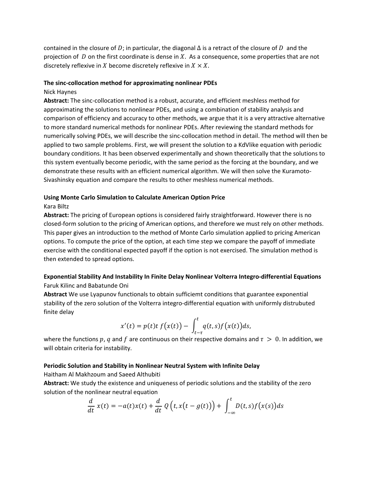contained in the closure of D; in particular, the diagonal  $\Delta$  is a retract of the closure of D and the projection of  $D$  on the first coordinate is dense in  $X$ . As a consequence, some properties that are not discretely reflexive in X become discretely reflexive in  $X \times X$ .

#### **The sinc‐collocation method for approximating nonlinear PDEs**

#### Nick Haynes

**Abstract:** The sinc‐collocation method is a robust, accurate, and efficient meshless method for approximating the solutions to nonlinear PDEs, and using a combination of stability analysis and comparison of efficiency and accuracy to other methods, we argue that it is a very attractive alternative to more standard numerical methods for nonlinear PDEs. After reviewing the standard methods for numerically solving PDEs, we will describe the sinc‐collocation method in detail. The method will then be applied to two sample problems. First, we will present the solution to a KdVlike equation with periodic boundary conditions. It has been observed experimentally and shown theoretically that the solutions to this system eventually become periodic, with the same period as the forcing at the boundary, and we demonstrate these results with an efficient numerical algorithm. We will then solve the Kuramoto‐ Sivashinsky equation and compare the results to other meshless numerical methods.

### **Using Monte Carlo Simulation to Calculate American Option Price**

### Kara Biltz

**Abstract:** The pricing of European options is considered fairly straightforward. However there is no closed‐form solution to the pricing of American options, and therefore we must rely on other methods. This paper gives an introduction to the method of Monte Carlo simulation applied to pricing American options. To compute the price of the option, at each time step we compare the payoff of immediate exercise with the conditional expected payoff if the option is not exercised. The simulation method is then extended to spread options.

### **Exponential Stability And Instability In Finite Delay Nonlinear Volterra Integro‐differential Equations** Faruk Kilinc and Babatunde Oni

**Abstract** We use Lyapunov functionals to obtain sufficiemt conditions that guarantee exponential stability of the zero solution of the Volterra integro-differential equation with uniformly distrubuted finite delay

$$
x'(t) = p(t)t f(x(t)) - \int_{t-\tau}^{t} q(t,s)f(x(t))ds,
$$

where the functions p, q and f are continuous on their respective domains and  $\tau > 0$ . In addition, we will obtain criteria for instability.

### **Periodic Solution and Stability in Nonlinear Neutral System with Infinite Delay**

Haitham Al Makhzoum and Saeed Althubiti

**Abstract:** We study the existence and uniqueness of periodic solutions and the stability of the zero solution of the nonlinear neutral equation

$$
\frac{d}{dt} x(t) = -a(t)x(t) + \frac{d}{dt} Q(t, x(t - g(t))) + \int_{-\infty}^{t} D(t, s) f(x(s)) ds
$$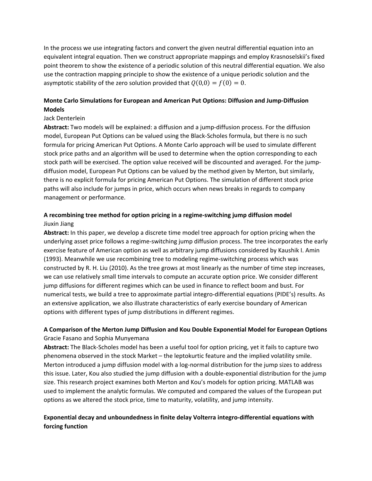In the process we use integrating factors and convert the given neutral differential equation into an equivalent integral equation. Then we construct appropriate mappings and employ Krasnoselskii's fixed point theorem to show the existence of a periodic solution of this neutral differential equation. We also use the contraction mapping principle to show the existence of a unique periodic solution and the asymptotic stability of the zero solution provided that  $Q(0,0) = f(0) = 0$ .

# **Monte Carlo Simulations for European and American Put Options: Diffusion and Jump‐Diffusion Models**

### Jack Denterlein

**Abstract:** Two models will be explained: a diffusion and a jump‐diffusion process. For the diffusion model, European Put Options can be valued using the Black‐Scholes formula, but there is no such formula for pricing American Put Options. A Monte Carlo approach will be used to simulate different stock price paths and an algorithm will be used to determine when the option corresponding to each stock path will be exercised. The option value received will be discounted and averaged. For the jump‐ diffusion model, European Put Options can be valued by the method given by Merton, but similarly, there is no explicit formula for pricing American Put Options. The simulation of different stock price paths will also include for jumps in price, which occurs when news breaks in regards to company management or performance.

# **A recombining tree method for option pricing in a regime‐switching jump diffusion model** Jiuxin Jiang

**Abstract:** In this paper, we develop a discrete time model tree approach for option pricing when the underlying asset price follows a regime‐switching jump diffusion process. The tree incorporates the early exercise feature of American option as well as arbitrary jump diffusions considered by Kaushik I. Amin (1993). Meanwhile we use recombining tree to modeling regime‐switching process which was constructed by R. H. Liu (2010). As the tree grows at most linearly as the number of time step increases, we can use relatively small time intervals to compute an accurate option price. We consider different jump diffusions for different regimes which can be used in finance to reflect boom and bust. For numerical tests, we build a tree to approximate partial integro-differential equations (PIDE's) results. As an extensive application, we also illustrate characteristics of early exercise boundary of American options with different types of jump distributions in different regimes.

# **A Comparison of the Merton Jump Diffusion and Kou Double Exponential Model for European Options** Gracie Fasano and Sophia Munyemana

**Abstract:** The Black‐Scholes model has been a useful tool for option pricing, yet it fails to capture two phenomena observed in the stock Market – the leptokurtic feature and the implied volatility smile. Merton introduced a jump diffusion model with a log-normal distribution for the jump sizes to address this issue. Later, Kou also studied the jump diffusion with a double‐exponential distribution for the jump size. This research project examines both Merton and Kou's models for option pricing. MATLAB was used to implement the analytic formulas. We computed and compared the values of the European put options as we altered the stock price, time to maturity, volatility, and jump intensity.

# **Exponential decay and unboundedness in finite delay Volterra integro‐differential equations with forcing function**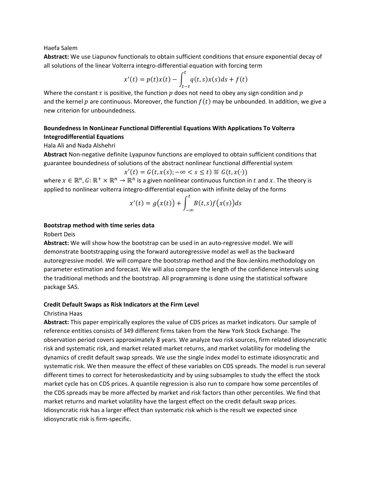Haefa Salem

**Abstract:** We use Liapunov functionals to obtain sufficient conditions that ensure exponential decay of all solutions of the linear Volterra integro‐differential equation with forcing term

$$
x'(t) = p(t)x(t) - \int_{t-\tau}^{t} q(t,s)x(s)ds + f(t)
$$

Where the constant  $\tau$  is positive, the function  $p$  does not need to obey any sign condition and  $p$ and the kernel  $p$  are continuous. Moreover, the function  $f(t)$  may be unbounded. In addition, we give a new criterion for unboundedness.

# **Boundedness In NonLinear Functional Differential Equations With Applications To Volterra Integrodifferential Equations**

#### Hala Ali and Nada Alshehri

**Abstract** Non‐negative definite Lyapunov functions are employed to obtain sufficient conditions that guarantee boundedness of solutions of the abstract nonlinear functional differential system

$$
x'(t) = G(t, x(s); -\infty < s \leq t) \stackrel{\text{def}}{=} G(t, x(\cdot))
$$

where  $x \in \mathbb{R}^n$ ,  $G: \mathbb{R}^+ \times \mathbb{R}^n \to \mathbb{R}^n$  is a given nonlinear continuous function in t and x. The theory is applied to nonlinear volterra integro-differential equation with infinite delay of the forms

$$
x'(t) = g(x(t)) + \int_{-\infty}^{t} B(t,s)f(x(s))ds
$$

#### **Bootstrap method with time series data**

Robert Deis

Abstract: We will show how the bootstrap can be used in an auto-regressive model. We will demonstrate bootstrapping using the forward autoregressive model as well as the backward autoregressive model. We will compare the bootstrap method and the Box-Jenkins methodology on parameter estimation and forecast. We will also compare the length of the confidence intervals using the traditional methods and the bootstrap. All programming is done using the statistical software package SAS.

### **Credit Default Swaps as Risk Indicators at the Firm Level**

#### Christina Haas

**Abstract:** This paper empirically explores the value of CDS prices as market indicators. Our sample of reference entities consists of 349 different firms taken from the New York Stock Exchange. The observation period covers approximately 8 years. We analyze two risk sources, firm related idiosyncratic risk and systematic risk, and market related market returns, and market volatility for modeling the dynamics of credit default swap spreads. We use the single index model to estimate idiosyncratic and systematic risk. We then measure the effect of these variables on CDS spreads. The model is run several different times to correct for heteroskedasticity and by using subsamples to study the effect the stock market cycle has on CDS prices. A quantile regression is also run to compare how some percentiles of the CDS spreads may be more affected by market and risk factors than other percentiles. We find that market returns and market volatility have the largest effect on the credit default swap prices. Idiosyncratic risk has a larger effect than systematic risk which is the result we expected since idiosyncratic risk is firm‐specific.